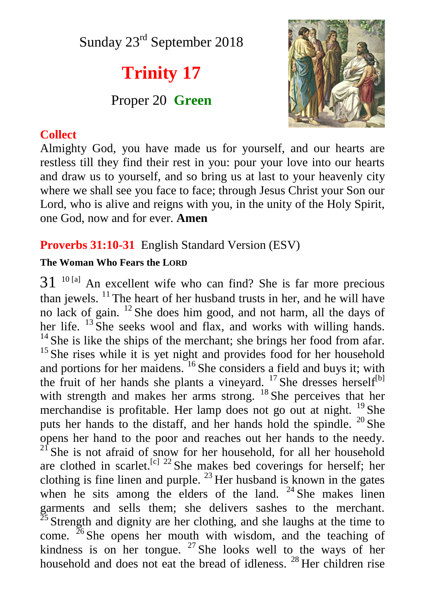Sunday 23<sup>rd</sup> September 2018

# **Trinity 17**

Proper 20 **Green**

## **Collect**



Almighty God, you have made us for yourself, and our hearts are restless till they find their rest in you: pour your love into our hearts and draw us to yourself, and so bring us at last to your heavenly city where we shall see you face to face; through Jesus Christ your Son our Lord, who is alive and reigns with you, in the unity of the Holy Spirit, one God, now and for ever. **Amen**

### **Proverbs 31:10-31** English Standard Version (ESV)

#### **The Woman Who Fears the LORD**

 $31<sup>10</sup>$  and excellent wife who can find? She is far more precious than jewels.  $\frac{11}{1}$  The heart of her husband trusts in her, and he will have no lack of gain. <sup>12</sup> She does him good, and not harm, all the days of her life.  $^{13}$  She seeks wool and flax, and works with willing hands.  $14$  She is like the ships of the merchant; she brings her food from afar.  $15$  She rises while it is yet night and provides food for her household and portions for her maidens. <sup>16</sup> She considers a field and buys it; with the fruit of her hands she plants a vineyard.  $^{17}$  She dresses herself<sup>[b]</sup> with strength and makes her arms strong. <sup>18</sup> She perceives that her merchandise is profitable. Her lamp does not go out at night. <sup>19</sup> She puts her hands to the distaff, and her hands hold the spindle. <sup>20</sup> She opens her hand to the poor and reaches out her hands to the needy.  $21$  She is not afraid of snow for her household, for all her household are clothed in scarlet.<sup>[c] 22</sup> She makes bed coverings for herself; her clothing is fine linen and purple.  $^{23}$  Her husband is known in the gates when he sits among the elders of the land.  $24$  She makes linen garments and sells them; she delivers sashes to the merchant.  $25$  Strength and dignity are her clothing, and she laughs at the time to come.  $26$  She opens her mouth with wisdom, and the teaching of kindness is on her tongue.  $27$  She looks well to the ways of her household and does not eat the bread of idleness.<sup>28</sup> Her children rise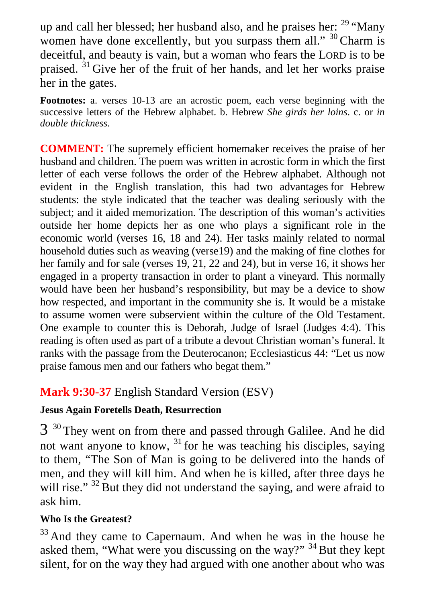up and call her blessed; her husband also, and he praises her:  $29 \text{ "Many]}$ women have done excellently, but you surpass them all." <sup>30</sup> Charm is deceitful, and beauty is vain, but a woman who fears the LORD is to be praised. <sup>31</sup> Give her of the fruit of her hands, and let her works praise her in the gates.

**Footnotes:** a. verses 10-13 are an acrostic poem, each verse beginning with the successive letters of the Hebrew alphabet. b. Hebrew *She girds her loins*. c. or *in double thickness*.

**COMMENT:** The supremely efficient homemaker receives the praise of her husband and children. The poem was written in acrostic form in which the first letter of each verse follows the order of the Hebrew alphabet. Although not evident in the English translation, this had two advantages for Hebrew students: the style indicated that the teacher was dealing seriously with the subject; and it aided memorization. The description of this woman's activities outside her home depicts her as one who plays a significant role in the economic world (verses 16, 18 and 24). Her tasks mainly related to normal household duties such as weaving (verse19) and the making of fine clothes for her family and for sale (verses 19, 21, 22 and 24), but in verse 16, it shows her engaged in a property transaction in order to plant a vineyard. This normally would have been her husband's responsibility, but may be a device to show how respected, and important in the community she is. It would be a mistake to assume women were subservient within the culture of the Old Testament. One example to counter this is Deborah, Judge of Israel (Judges 4:4). This reading is often used as part of a tribute a devout Christian woman's funeral. It ranks with the passage from the Deuterocanon; Ecclesiasticus 44: "Let us now praise famous men and our fathers who begat them."

# **Mark 9:30-37** English Standard Version (ESV)

#### **Jesus Again Foretells Death, Resurrection**

 $3<sup>30</sup>$  They went on from there and passed through Galilee. And he did not want anyone to know,  $31$  for he was teaching his disciples, saying to them, "The Son of Man is going to be delivered into the hands of men, and they will kill him. And when he is killed, after three days he will rise."<sup>32</sup> But they did not understand the saying, and were afraid to ask him.

# **Who Is the Greatest?**

 $33$  And they came to Capernaum. And when he was in the house he asked them, "What were you discussing on the way?"  $34$  But they kept silent, for on the way they had argued with one another about who was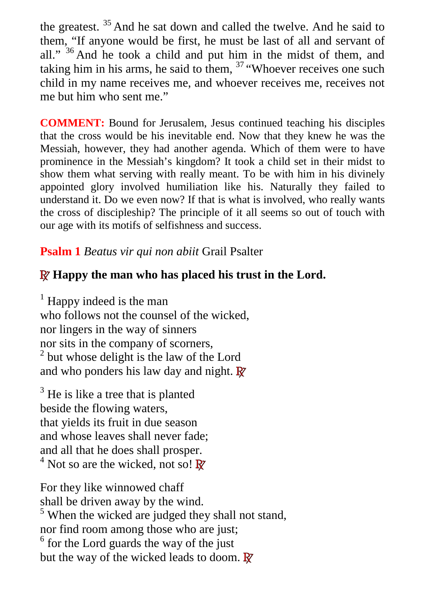the greatest. <sup>35</sup> And he sat down and called the twelve. And he said to them, "If anyone would be first, he must be last of all and servant of all." <sup>36</sup> And he took a child and put him in the midst of them, and taking him in his arms, he said to them,  $37 \div W$  hoever receives one such child in my name receives me, and whoever receives me, receives not me but him who sent me."

**COMMENT:** Bound for Jerusalem, Jesus continued teaching his disciples that the cross would be his inevitable end. Now that they knew he was the Messiah, however, they had another agenda. Which of them were to have prominence in the Messiah's kingdom? It took a child set in their midst to show them what serving with really meant. To be with him in his divinely appointed glory involved humiliation like his. Naturally they failed to understand it. Do we even now? If that is what is involved, who really wants the cross of discipleship? The principle of it all seems so out of touch with our age with its motifs of selfishness and success.

# **Psalm 1** *Beatus vir qui non abiit* Grail Psalter

# **R Happy the man who has placed his trust in the Lord.**

<sup>1</sup> Happy indeed is the man who follows not the counsel of the wicked, nor lingers in the way of sinners nor sits in the company of scorners,  $2$  but whose delight is the law of the Lord and who ponders his law day and night. **R**

<sup>3</sup> He is like a tree that is planted beside the flowing waters, that yields its fruit in due season and whose leaves shall never fade; and all that he does shall prosper. 4 Not so are the wicked, not so! **R**

For they like winnowed chaff shall be driven away by the wind.

<sup>5</sup> When the wicked are judged they shall not stand, nor find room among those who are just;

<sup>6</sup> for the Lord guards the way of the just but the way of the wicked leads to doom. **R**